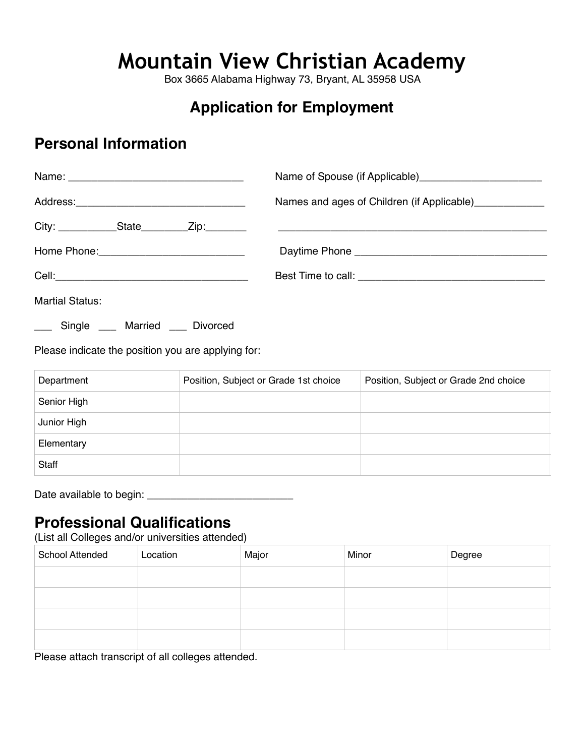# **Mountain View Christian Academy**

Box 3665 Alabama Highway 73, Bryant, AL 35958 USA

## **Application for Employment**

### **Personal Information**

|                        | Names and ages of Children (if Applicable)_____________ |
|------------------------|---------------------------------------------------------|
|                        |                                                         |
|                        |                                                         |
|                        |                                                         |
| <b>Martial Status:</b> |                                                         |

\_\_\_ Single \_\_\_ Married \_\_\_ Divorced

Please indicate the position you are applying for:

| Department  | Position, Subject or Grade 1st choice | Position, Subject or Grade 2nd choice |
|-------------|---------------------------------------|---------------------------------------|
| Senior High |                                       |                                       |
| Junior High |                                       |                                       |
| Elementary  |                                       |                                       |
| Staff       |                                       |                                       |

Date available to begin: \_\_\_\_\_\_\_\_\_\_\_\_\_\_\_\_\_\_\_\_\_\_\_\_\_

### **Professional Qualifications**

(List all Colleges and/or universities attended)

| <b>School Attended</b> | Location | Major | Minor | Degree |
|------------------------|----------|-------|-------|--------|
|                        |          |       |       |        |
|                        |          |       |       |        |
|                        |          |       |       |        |
|                        |          |       |       |        |

Please attach transcript of all colleges attended.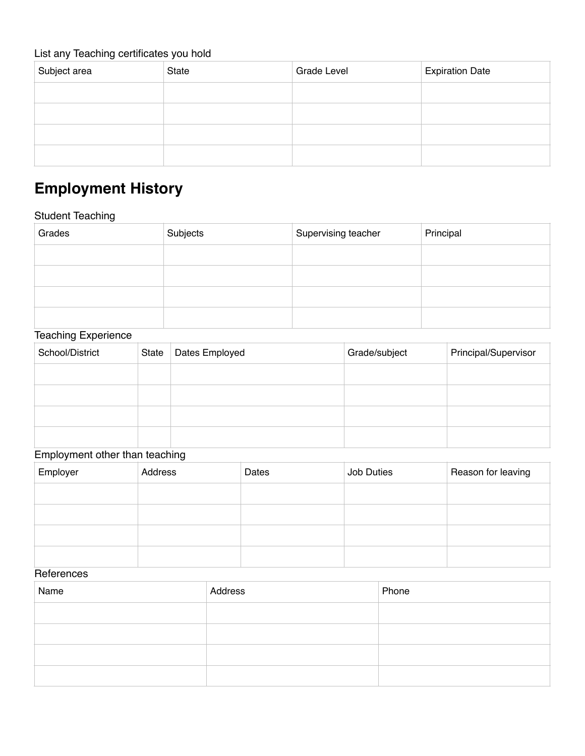#### List any Teaching certificates you hold

| Subject area | <b>State</b> | <b>Grade Level</b> | <b>Expiration Date</b> |
|--------------|--------------|--------------------|------------------------|
|              |              |                    |                        |
|              |              |                    |                        |
|              |              |                    |                        |
|              |              |                    |                        |

# **Employment History**

#### Student Teaching

| Grades | Subjects | Supervising teacher | Principal |
|--------|----------|---------------------|-----------|
|        |          |                     |           |
|        |          |                     |           |
|        |          |                     |           |
|        |          |                     |           |

#### Teaching Experience

| School/District | State | Dates Employed | Grade/subject | Principal/Supervisor |
|-----------------|-------|----------------|---------------|----------------------|
|                 |       |                |               |                      |
|                 |       |                |               |                      |
|                 |       |                |               |                      |
|                 |       |                |               |                      |

### Employment other than teaching

| Employer | Address | Dates | Job Duties | Reason for leaving |
|----------|---------|-------|------------|--------------------|
|          |         |       |            |                    |
|          |         |       |            |                    |
|          |         |       |            |                    |
|          |         |       |            |                    |

#### **References**

| Name | Address | Phone |
|------|---------|-------|
|      |         |       |
|      |         |       |
|      |         |       |
|      |         |       |